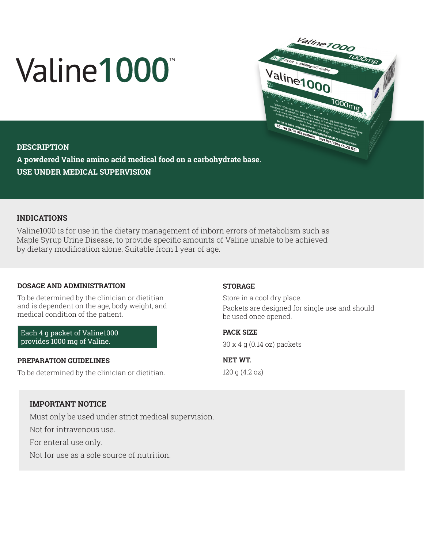# Valine1000



# **DESCRIPTION**

**A powdered Valine amino acid medical food on a carbohydrate base. USE UNDER MEDICAL SUPERVISION**

# **INDICATIONS**

Valine1000 is for use in the dietary management of inborn errors of metabolism such as Maple Syrup Urine Disease, to provide specific amounts of Valine unable to be achieved by dietary modification alone. Suitable from 1 year of age.

### **DOSAGE AND ADMINISTRATION**

To be determined by the clinician or dietitian and is dependent on the age, body weight, and medical condition of the patient.

Each 4 g packet of Valine1000 provides 1000 mg of Valine.

### **PREPARATION GUIDELINES**

To be determined by the clinician or dietitian.

### **STORAGE**

Store in a cool dry place. Packets are designed for single use and should be used once opened.

**PACK SIZE** 

30 x 4 g (0.14 oz) packets

**NET WT.**  120 g (4.2 oz)

# **IMPORTANT NOTICE**

Must only be used under strict medical supervision.

Not for intravenous use.

For enteral use only.

Not for use as a sole source of nutrition.